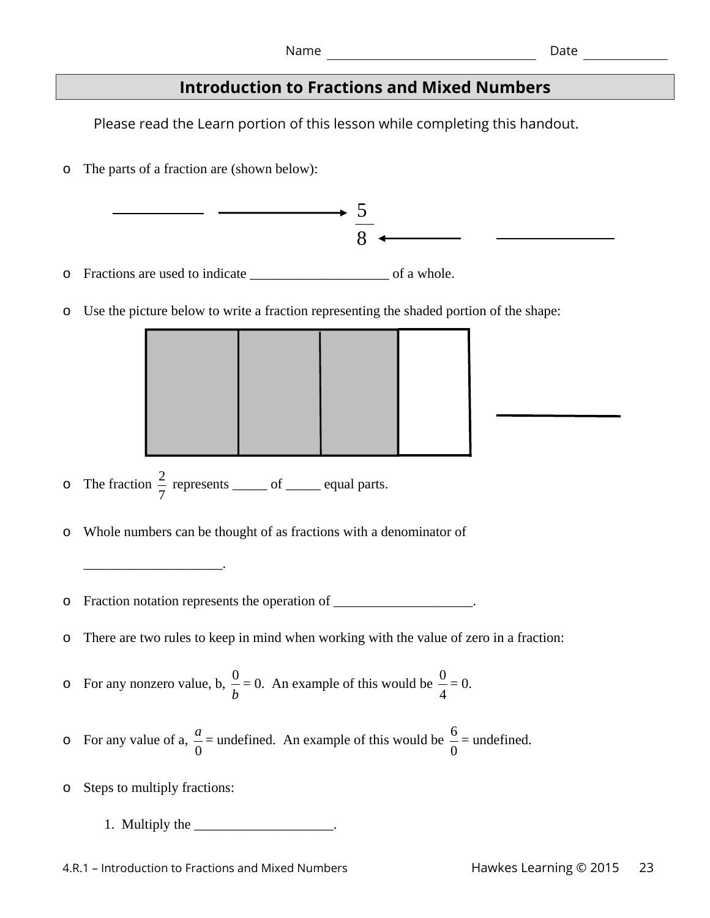# **Introduction to Fractions and Mixed Numbers**

Please read the Learn portion of this lesson while completing this handout.

o The parts of a fraction are (shown below):

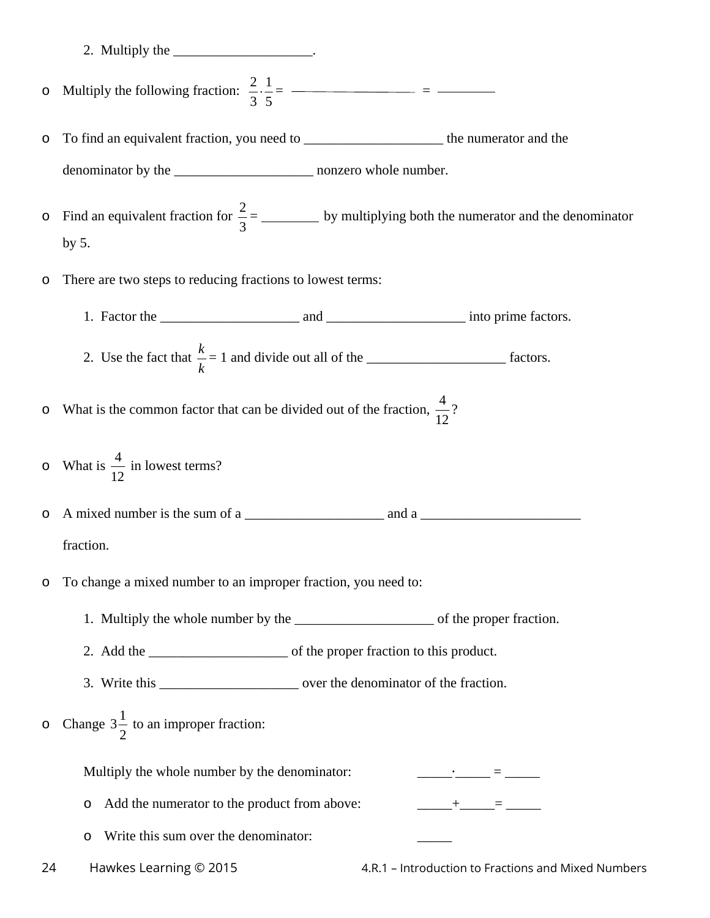- 2. Multiply the \_\_\_\_\_\_\_\_\_\_\_\_\_\_\_\_\_\_\_\_\_\_.
- o Multiply the following fraction:  $\frac{2}{3} \cdot \frac{1}{5}$ 3 5  $\cdot \frac{1}{2} =$  =  $\frac{1}{2}$  =  $\frac{1}{2}$  =  $\frac{1}{2}$  =  $\frac{1}{2}$  =  $\frac{1}{2}$  =  $\frac{1}{2}$  =  $\frac{1}{2}$  =  $\frac{1}{2}$  =  $\frac{1}{2}$  =  $\frac{1}{2}$  =  $\frac{1}{2}$  =  $\frac{1}{2}$  =  $\frac{1}{2}$  =  $\frac{1}{2}$  =  $\frac{1}{2}$  =  $\frac{1}{2}$  =  $\frac{1}{2}$  =  $\$
- o To find an equivalent fraction, you need to \_\_\_\_\_\_\_\_\_\_\_\_\_\_\_\_\_\_\_\_ the numerator and the denominator by the \_\_\_\_\_\_\_\_\_\_\_\_\_\_\_\_\_\_\_\_ nonzero whole number.
- $\circ$  Find an equivalent fraction for  $\frac{2}{3}$ 3 = \_\_\_\_\_\_\_\_\_\_\_ by multiplying both the numerator and the denominator by 5.
- o There are two steps to reducing fractions to lowest terms:
	- 1. Factor the \_\_\_\_\_\_\_\_\_\_\_\_\_\_\_\_\_\_\_\_ and \_\_\_\_\_\_\_\_\_\_\_\_\_\_\_\_\_\_\_\_ into prime factors.
	- 2. Use the fact that  $\frac{k}{1}$ *k*  $= 1$  and divide out all of the  $\frac{1}{2}$  factors.

 $\circ$  What is the common factor that can be divided out of the fraction,  $\frac{4}{16}$ 12 ?

 $\circ$  What is  $\frac{4}{16}$ 12 in lowest terms?

o A mixed number is the sum of a \_\_\_\_\_\_\_\_\_\_\_\_\_\_\_\_\_\_\_\_ and a \_\_\_\_\_\_\_\_\_\_\_\_\_\_\_\_\_\_\_\_\_\_\_ fraction.

o To change a mixed number to an improper fraction, you need to:

1. Multiply the whole number by the \_\_\_\_\_\_\_\_\_\_\_\_\_\_\_\_\_\_\_\_ of the proper fraction.

2. Add the \_\_\_\_\_\_\_\_\_\_\_\_\_\_\_\_\_\_\_\_ of the proper fraction to this product.

- 3. Write this over the denominator of the fraction.
- o Change  $3\frac{1}{2}$ 2 to an improper fraction:

Multiply the whole number by the denominator:  $\qquad \qquad =$ 

 $\circ$  Add the numerator to the product from above:  $\qquad +$  =

- o Write this sum over the denominator: \_\_\_\_\_
- 

24 Hawkes Learning © 2015 4.R.1 – Introduction to Fractions and Mixed Numbers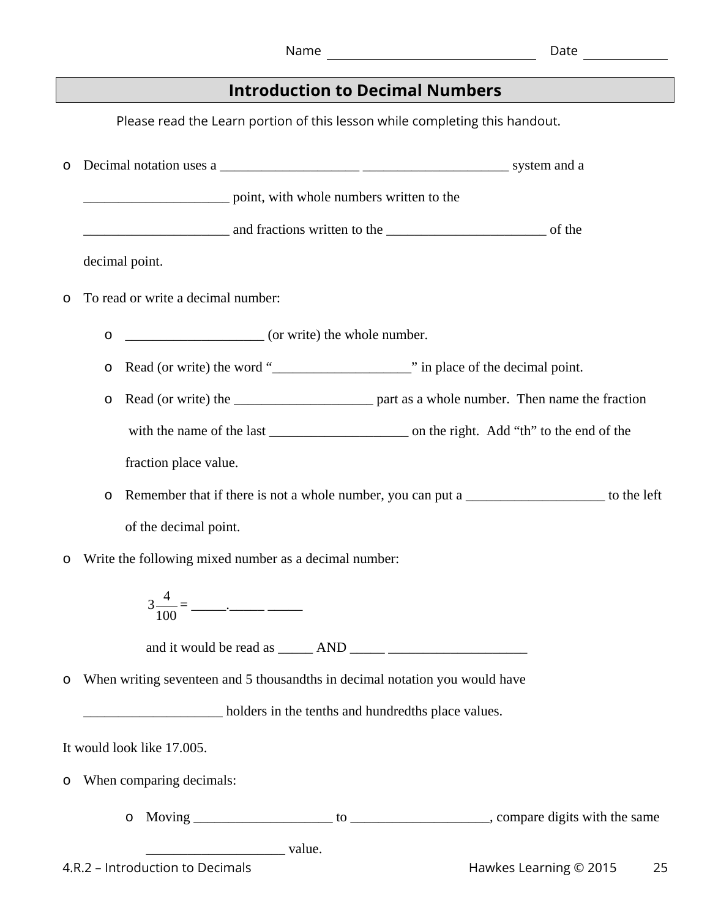Please read the Learn portion of this lesson while completing this handout.

| $\circ$                                                    |                                                                             |                                                             |
|------------------------------------------------------------|-----------------------------------------------------------------------------|-------------------------------------------------------------|
|                                                            | point, with whole numbers written to the                                    |                                                             |
|                                                            |                                                                             |                                                             |
|                                                            | decimal point.                                                              |                                                             |
| $\circ$                                                    | To read or write a decimal number:                                          |                                                             |
|                                                            | (or write) the whole number.<br>$\circ$                                     |                                                             |
|                                                            | $\circ$                                                                     |                                                             |
|                                                            | $\circ$                                                                     |                                                             |
|                                                            |                                                                             |                                                             |
|                                                            | fraction place value.                                                       |                                                             |
|                                                            | $\circ$                                                                     | Remember that if there is not a whole number, you can put a |
| of the decimal point.                                      |                                                                             |                                                             |
| Write the following mixed number as a decimal number:<br>O |                                                                             |                                                             |
|                                                            |                                                                             |                                                             |
|                                                            |                                                                             |                                                             |
| $\circ$                                                    | When writing seventeen and 5 thousandths in decimal notation you would have |                                                             |
| holders in the tenths and hundredths place values.         |                                                                             |                                                             |
|                                                            | It would look like 17.005.                                                  |                                                             |
| $\circ$                                                    | When comparing decimals:                                                    |                                                             |
|                                                            | O                                                                           |                                                             |
| value.                                                     |                                                                             |                                                             |
|                                                            | 4.R.2 - Introduction to Decimals                                            | Hawkes Learning © 2015<br>25                                |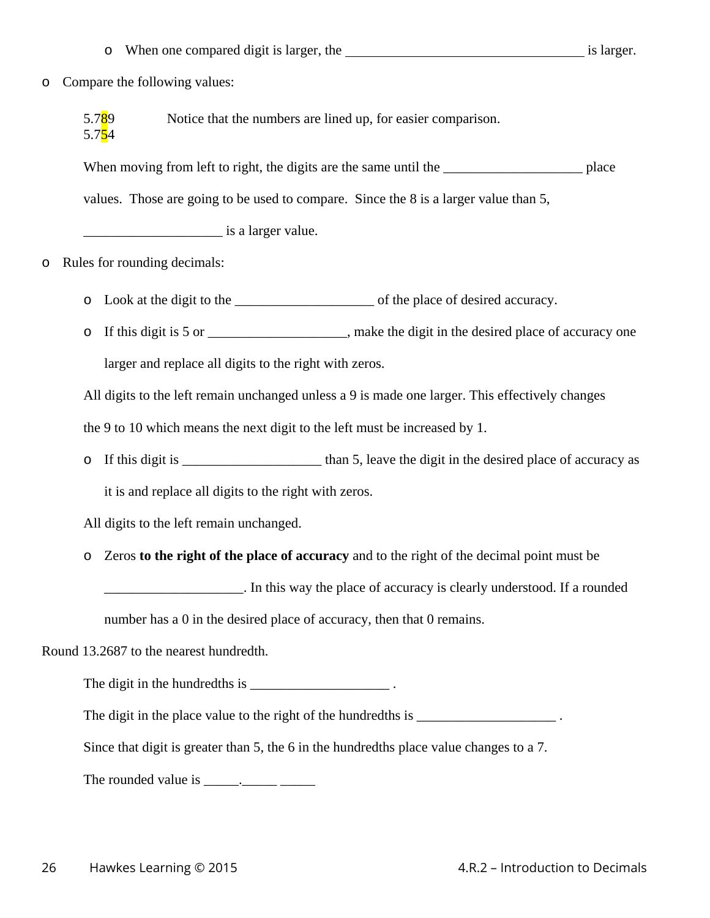o When one compared digit is larger, the is larger is larger.

#### o Compare the following values:

5.789 Notice that the numbers are lined up, for easier comparison. 5.754

When moving from left to right, the digits are the same until the place

values. Those are going to be used to compare. Since the 8 is a larger value than 5,

 $\frac{1}{2}$  is a larger value.

- o Rules for rounding decimals:
	- o Look at the digit to the \_\_\_\_\_\_\_\_\_\_\_\_\_\_\_\_\_\_\_\_ of the place of desired accuracy.
	- o If this digit is 5 or \_\_\_\_\_\_\_\_\_\_\_\_\_\_\_\_\_\_\_\_, make the digit in the desired place of accuracy one larger and replace all digits to the right with zeros.

All digits to the left remain unchanged unless a 9 is made one larger. This effectively changes

the 9 to 10 which means the next digit to the left must be increased by 1.

o If this digit is than 5, leave the digit in the desired place of accuracy as

it is and replace all digits to the right with zeros.

All digits to the left remain unchanged.

o Zeros **to the right of the place of accuracy** and to the right of the decimal point must be

\_\_\_\_\_\_\_\_\_\_\_\_\_\_\_\_\_\_\_\_. In this way the place of accuracy is clearly understood. If a rounded

number has a 0 in the desired place of accuracy, then that 0 remains.

Round 13.2687 to the nearest hundredth.

The digit in the hundredths is  $\frac{1}{\sqrt{1-\frac{1}{n}}}\qquad$ .

The digit in the place value to the right of the hundredths is \_\_\_\_\_\_\_\_\_\_\_\_\_\_\_\_\_\_\_\_\_\_\_\_.

Since that digit is greater than 5, the 6 in the hundredths place value changes to a 7.

The rounded value is  $\qquad \qquad$ .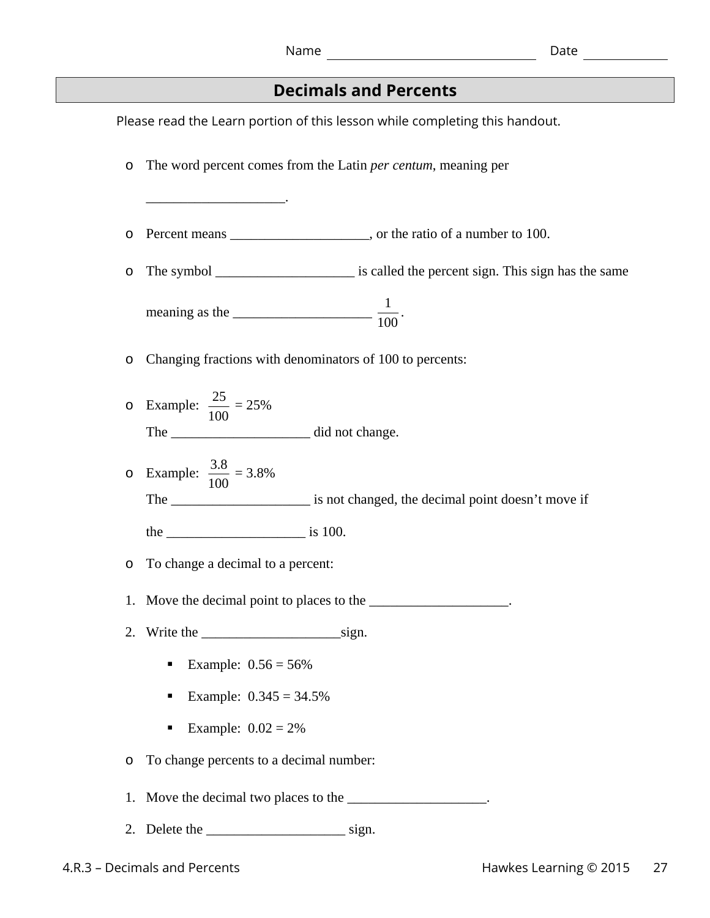## **Decimals and Percents**

Please read the Learn portion of this lesson while completing this handout. o The word percent comes from the Latin *per centum*, meaning per \_\_\_\_\_\_\_\_\_\_\_\_\_\_\_\_\_\_\_\_. o Percent means \_\_\_\_\_\_\_\_\_\_\_\_\_\_\_\_\_\_\_\_, or the ratio of a number to 100. o The symbol \_\_\_\_\_\_\_\_\_\_\_\_\_\_\_\_\_\_\_\_ is called the percent sign. This sign has the same meaning as the  $\frac{1}{100}$ . o Changing fractions with denominators of 100 to percents: o Example:  $\frac{25}{100}$ 100  $= 25%$ The \_\_\_\_\_\_\_\_\_\_\_\_\_\_\_\_\_\_\_\_ did not change. o Example:  $\frac{3.8}{100}$ 100 = 3.8% The \_\_\_\_\_\_\_\_\_\_\_\_\_\_\_\_\_\_\_\_ is not changed, the decimal point doesn't move if the  $\frac{1}{\sqrt{1-\frac{1}{\sqrt{1-\frac{1}{\sqrt{1-\frac{1}{\sqrt{1-\frac{1}{\sqrt{1-\frac{1}{\sqrt{1-\frac{1}{\sqrt{1-\frac{1}{\sqrt{1-\frac{1}{\sqrt{1-\frac{1}{\sqrt{1-\frac{1}{\sqrt{1-\frac{1}{\sqrt{1-\frac{1}{\sqrt{1-\frac{1}{\sqrt{1-\frac{1}{\sqrt{1-\frac{1}{\sqrt{1-\frac{1}{\sqrt{1-\frac{1}{\sqrt{1-\frac{1}{\sqrt{1-\frac{1}{\sqrt{1-\frac{1}{\sqrt{1-\frac{1}{\sqrt{1-\frac{1}{\sqrt{1-\frac{1}{\sqrt{1$ o To change a decimal to a percent: 1. Move the decimal point to places to the \_\_\_\_\_\_\_\_\_\_\_\_\_\_\_\_\_\_\_\_. 2. Write the  $\frac{1}{\sqrt{2}}$  sign. **Example:**  $0.56 = 56\%$ Example:  $0.345 = 34.5\%$ Example:  $0.02 = 2\%$ o To change percents to a decimal number: 1. Move the decimal two places to the 2. Delete the sign.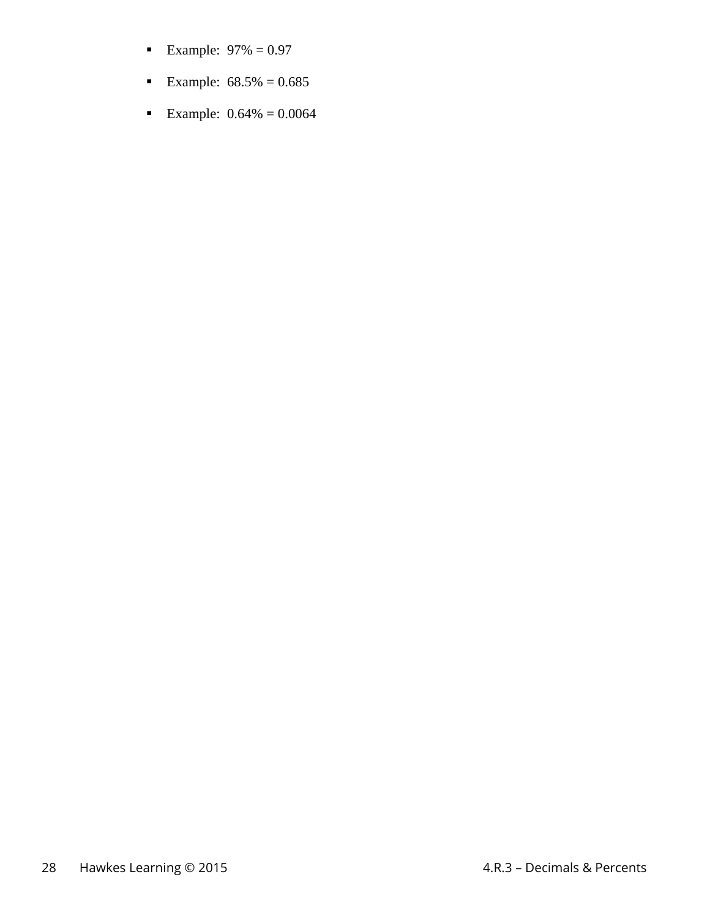- **Example:**  $97\% = 0.97$
- Example:  $68.5\% = 0.685$
- Example:  $0.64\% = 0.0064$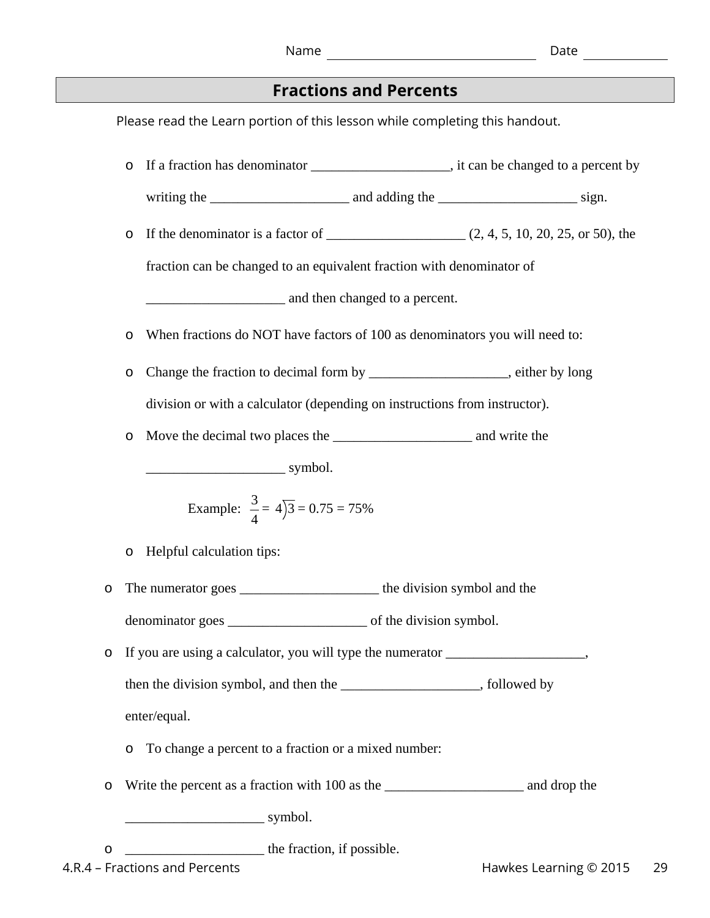### **Fractions and Percents**

Please read the Learn portion of this lesson while completing this handout.

o If a fraction has denominator \_\_\_\_\_\_\_\_\_\_\_\_\_\_\_\_\_\_\_\_, it can be changed to a percent by writing the \_\_\_\_\_\_\_\_\_\_\_\_\_\_\_\_\_\_\_\_ and adding the \_\_\_\_\_\_\_\_\_\_\_\_\_\_\_\_\_\_\_\_ sign.  $\circ$  If the denominator is a factor of  $(2, 4, 5, 10, 20, 25, \text{ or } 50)$ , the fraction can be changed to an equivalent fraction with denominator of \_\_\_\_\_\_\_\_\_\_\_\_\_\_\_\_\_\_\_\_ and then changed to a percent. o When fractions do NOT have factors of 100 as denominators you will need to: o Change the fraction to decimal form by \_\_\_\_\_\_\_\_\_\_\_\_\_\_\_\_\_\_\_\_, either by long division or with a calculator (depending on instructions from instructor). o Move the decimal two places the \_\_\_\_\_\_\_\_\_\_\_\_\_\_\_\_\_\_\_\_ and write the  $\frac{1}{\text{symbol}}$  symbol. Example:  $\frac{3}{4}$ 4  $= 4$ )3  $= 0.75 = 75\%$ o Helpful calculation tips: o The numerator goes \_\_\_\_\_\_\_\_\_\_\_\_\_\_\_\_\_\_\_\_ the division symbol and the denominator goes of the division symbol. o If you are using a calculator, you will type the numerator \_\_\_\_\_\_\_\_\_\_\_\_\_\_\_\_\_\_\_\_, then the division symbol, and then the \_\_\_\_\_\_\_\_\_\_\_\_\_\_\_\_\_\_\_\_, followed by enter/equal. o To change a percent to a fraction or a mixed number: o Write the percent as a fraction with 100 as the \_\_\_\_\_\_\_\_\_\_\_\_\_\_\_\_\_\_\_\_ and drop the  $\longrightarrow$  symbol. o \_\_\_\_\_\_\_\_\_\_\_\_\_\_\_\_\_\_\_\_ the fraction, if possible.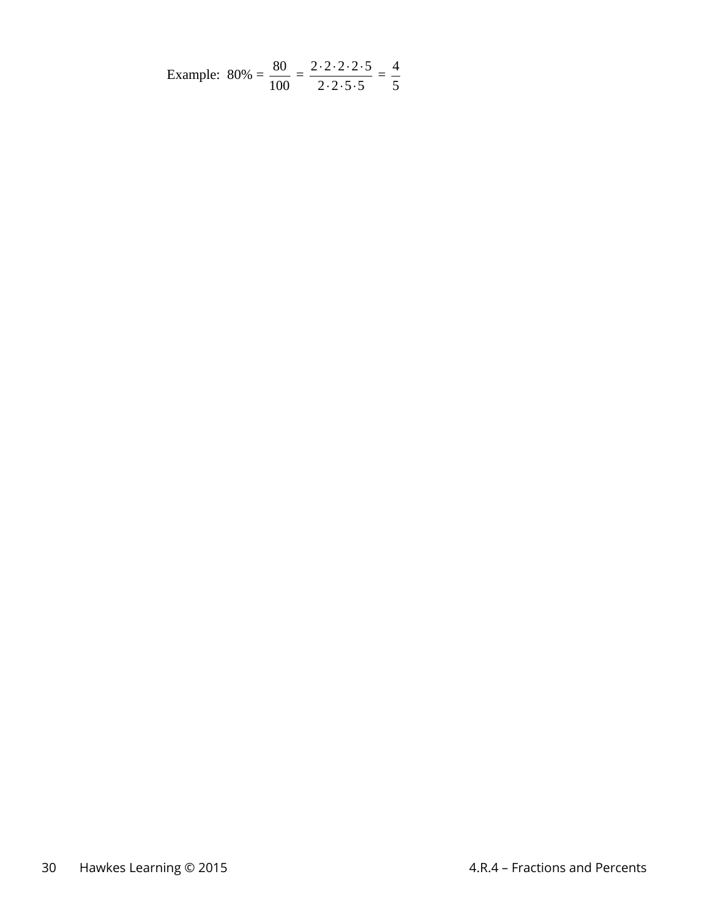Example: 
$$
80\% = \frac{80}{100} = \frac{2 \cdot 2 \cdot 2 \cdot 2 \cdot 5}{2 \cdot 2 \cdot 5 \cdot 5} = \frac{4}{5}
$$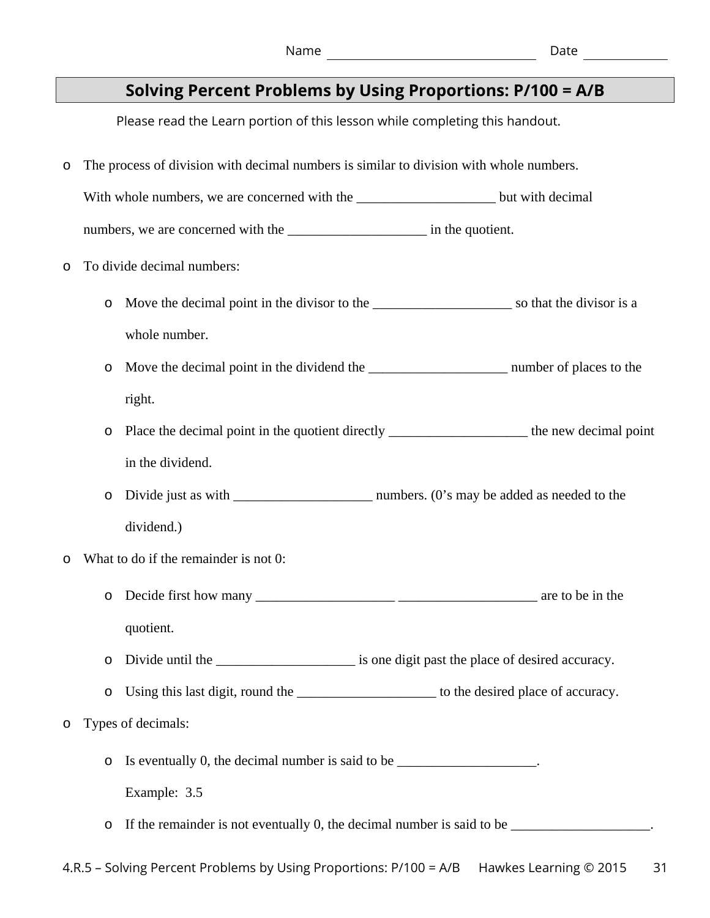# **Solving Percent Problems by Using Proportions: P/100 = A/B**

Please read the Learn portion of this lesson while completing this handout.

o The process of division with decimal numbers is similar to division with whole numbers.

With whole numbers, we are concerned with the \_\_\_\_\_\_\_\_\_\_\_\_\_\_\_\_\_\_\_\_\_\_\_\_\_\_\_\_but with decimal

numbers, we are concerned with the \_\_\_\_\_\_\_\_\_\_\_\_\_\_\_\_\_\_\_\_\_\_\_\_\_\_ in the quotient.

- o To divide decimal numbers:
	- o Move the decimal point in the divisor to the \_\_\_\_\_\_\_\_\_\_\_\_\_\_\_\_\_\_\_\_ so that the divisor is a whole number.
	- o Move the decimal point in the dividend the \_\_\_\_\_\_\_\_\_\_\_\_\_\_\_\_\_\_\_\_ number of places to the right.
	- o Place the decimal point in the quotient directly \_\_\_\_\_\_\_\_\_\_\_\_\_\_\_\_\_\_\_\_ the new decimal point in the dividend.
	- o Divide just as with \_\_\_\_\_\_\_\_\_\_\_\_\_\_\_\_\_\_\_\_ numbers. (0's may be added as needed to the dividend.)
- What to do if the remainder is not 0:
	- o Decide first how many \_\_\_\_\_\_\_\_\_\_\_\_\_\_\_\_\_\_\_\_ \_\_\_\_\_\_\_\_\_\_\_\_\_\_\_\_\_\_\_\_ are to be in the quotient.
	- o Divide until the \_\_\_\_\_\_\_\_\_\_\_\_\_\_\_\_\_\_\_\_ is one digit past the place of desired accuracy.
	- o Using this last digit, round the \_\_\_\_\_\_\_\_\_\_\_\_\_\_\_\_\_\_\_\_ to the desired place of accuracy.
- o Types of decimals:

o Is eventually 0, the decimal number is said to be \_\_\_\_\_\_\_\_\_\_\_\_\_\_\_\_\_\_\_\_.

Example: 3.5

o If the remainder is not eventually 0, the decimal number is said to be \_\_\_\_\_\_\_\_\_\_\_\_\_\_\_\_\_\_\_\_.